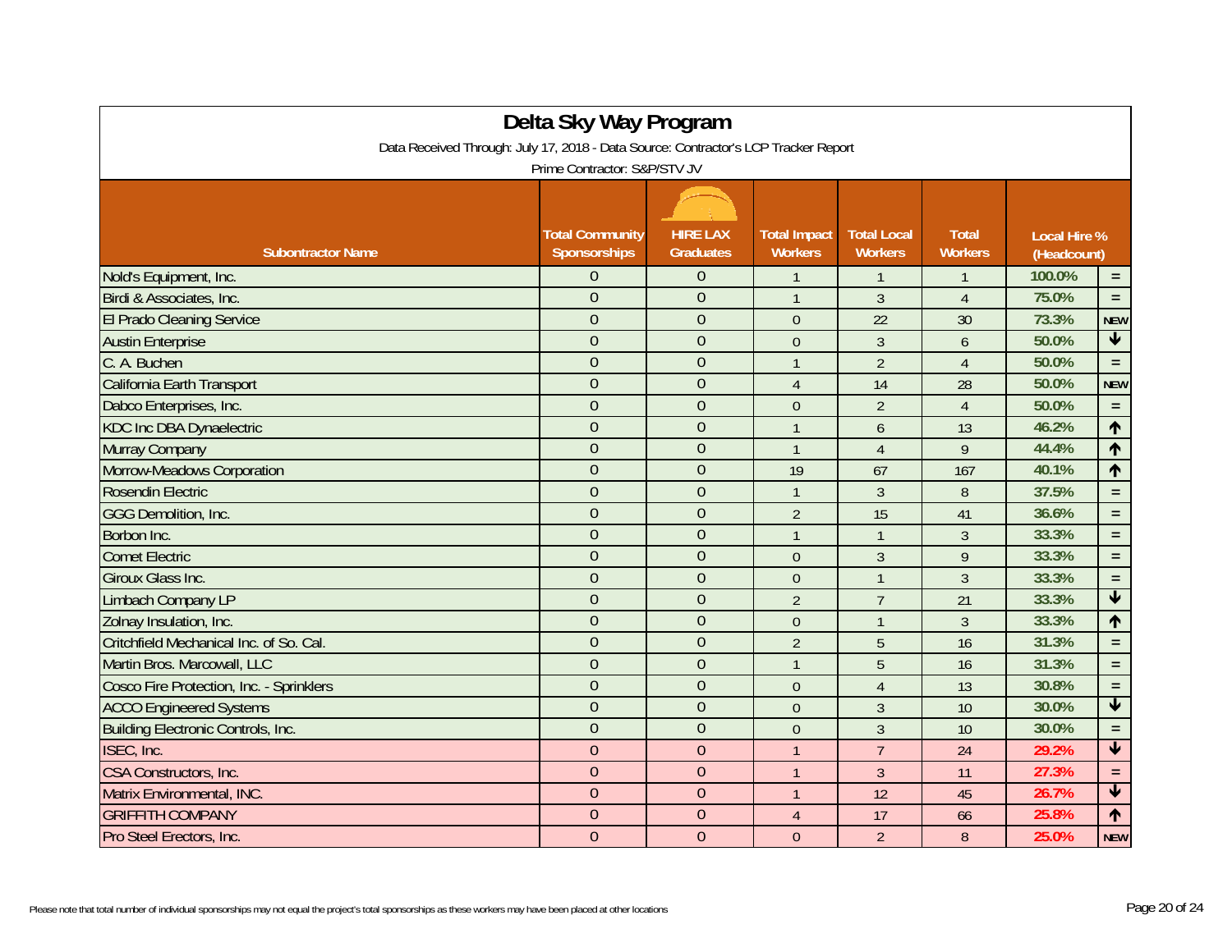| Delta Sky Way Program<br>Data Received Through: July 17, 2018 - Data Source: Contractor's LCP Tracker Report<br>Prime Contractor: S&P/STV JV |                |                |                  |                |                |        |                         |  |
|----------------------------------------------------------------------------------------------------------------------------------------------|----------------|----------------|------------------|----------------|----------------|--------|-------------------------|--|
|                                                                                                                                              |                |                |                  |                |                |        |                         |  |
| Nold's Equipment, Inc.                                                                                                                       | $\Omega$       | $\theta$       | $\mathbf{1}$     | $\mathbf{1}$   | $\mathbf{1}$   | 100.0% | $\equiv$                |  |
| Birdi & Associates, Inc.                                                                                                                     | $\overline{0}$ | $\mathbf{0}$   | $\mathbf{1}$     | 3              | $\overline{4}$ | 75.0%  | $\equiv$                |  |
| <b>El Prado Cleaning Service</b>                                                                                                             | $\overline{0}$ | $\overline{0}$ | $\overline{0}$   | 22             | 30             | 73.3%  | <b>NEW</b>              |  |
| <b>Austin Enterprise</b>                                                                                                                     | $\overline{0}$ | $\overline{0}$ | $\mathbf 0$      | $\mathfrak{Z}$ | 6              | 50.0%  | $\overline{\mathbf{r}}$ |  |
| C. A. Buchen                                                                                                                                 | $\overline{0}$ | $\mathbf{0}$   | $\mathbf{1}$     | $\overline{2}$ | $\overline{4}$ | 50.0%  | $\equiv$                |  |
| California Earth Transport                                                                                                                   | $\overline{0}$ | $\overline{0}$ | $\overline{4}$   | 14             | 28             | 50.0%  | <b>NEW</b>              |  |
| Dabco Enterprises, Inc.                                                                                                                      | $\overline{0}$ | $\overline{0}$ | $\boldsymbol{0}$ | $\overline{2}$ | $\overline{4}$ | 50.0%  | $\equiv$                |  |
| <b>KDC Inc DBA Dynaelectric</b>                                                                                                              | $\overline{0}$ | $\mathbf{0}$   | $\overline{1}$   | 6              | 13             | 46.2%  | $\spadesuit$            |  |
| Murray Company                                                                                                                               | $\overline{0}$ | $\overline{0}$ | $\overline{1}$   | $\overline{4}$ | 9              | 44.4%  | $\uparrow$              |  |
| Morrow-Meadows Corporation                                                                                                                   | $\overline{0}$ | $\overline{0}$ | 19               | 67             | 167            | 40.1%  | $\uparrow$              |  |
| Rosendin Electric                                                                                                                            | $\overline{0}$ | $\overline{0}$ | $\mathbf{1}$     | 3              | 8              | 37.5%  | $\equiv$                |  |
| <b>GGG Demolition, Inc.</b>                                                                                                                  | $\overline{0}$ | $\overline{0}$ | $\overline{2}$   | 15             | 41             | 36.6%  | $\equiv$                |  |
| Borbon Inc.                                                                                                                                  | $\overline{0}$ | $\overline{0}$ | $\mathbf{1}$     | $\mathbf{1}$   | $\mathfrak{Z}$ | 33.3%  | $\equiv$                |  |
| <b>Comet Electric</b>                                                                                                                        | $\overline{0}$ | $\overline{0}$ | $\theta$         | $\overline{3}$ | 9              | 33.3%  | $\equiv$                |  |
| Giroux Glass Inc.                                                                                                                            | $\overline{0}$ | $\overline{0}$ | $\theta$         | $\mathbf{1}$   | 3              | 33.3%  | $\equiv$                |  |
| Limbach Company LP                                                                                                                           | $\overline{0}$ | $\overline{0}$ | $\overline{2}$   | $\overline{7}$ | 21             | 33.3%  | $\overline{\textbf{v}}$ |  |
| Zolnay Insulation, Inc.                                                                                                                      | $\overline{0}$ | $\overline{0}$ | $\mathbf 0$      | $\mathbf{1}$   | $\overline{3}$ | 33.3%  | $\uparrow$              |  |
| Critchfield Mechanical Inc. of So. Cal.                                                                                                      | $\overline{0}$ | $\overline{0}$ | $\overline{2}$   | 5              | 16             | 31.3%  | $\equiv$                |  |
| Martin Bros. Marcowall, LLC                                                                                                                  | $\overline{0}$ | $\overline{0}$ | $\overline{1}$   | 5              | 16             | 31.3%  | $\equiv$                |  |
| Cosco Fire Protection, Inc. - Sprinklers                                                                                                     | $\overline{0}$ | $\overline{0}$ | $\theta$         | $\overline{4}$ | 13             | 30.8%  | $\equiv$                |  |
| <b>ACCO Engineered Systems</b>                                                                                                               | $\overline{0}$ | $\overline{0}$ | $\mathbf 0$      | $\overline{3}$ | 10             | 30.0%  | $\blacklozenge$         |  |
| Building Electronic Controls, Inc.                                                                                                           | $\overline{0}$ | $\overline{0}$ | $\theta$         | 3              | 10             | 30.0%  | $\equiv$                |  |
| ISEC, Inc.                                                                                                                                   | $\overline{0}$ | $\overline{0}$ | $\overline{1}$   | $\overline{7}$ | 24             | 29.2%  | $\overline{\textbf{t}}$ |  |
| CSA Constructors, Inc.                                                                                                                       | $\overline{0}$ | $\overline{0}$ | $\overline{1}$   | $\overline{3}$ | 11             | 27.3%  | $\equiv$                |  |
| Matrix Environmental, INC.                                                                                                                   | $\overline{0}$ | $\overline{0}$ | $\overline{1}$   | 12             | 45             | 26.7%  | $\overline{\mathbf{t}}$ |  |
| <b>GRIFFITH COMPANY</b>                                                                                                                      | $\overline{0}$ | $\overline{0}$ | $\overline{4}$   | 17             | 66             | 25.8%  | $\blacklozenge$         |  |
| Pro Steel Erectors, Inc.                                                                                                                     | $\overline{0}$ | $\theta$       | $\overline{0}$   | $\overline{2}$ | 8              | 25.0%  | <b>NEW</b>              |  |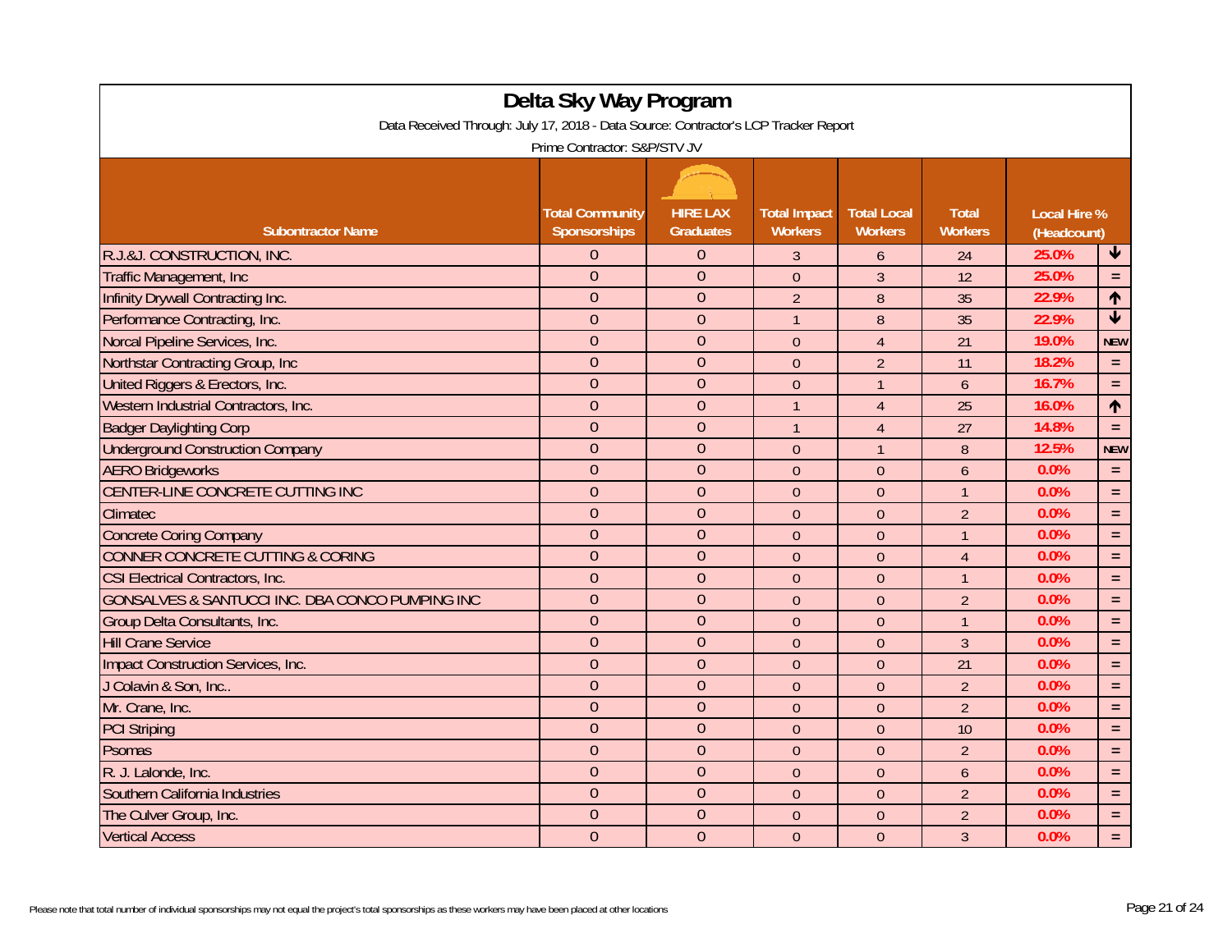| Delta Sky Way Program                                                               |                        |                  |                     |                    |                |                                    |                      |  |  |
|-------------------------------------------------------------------------------------|------------------------|------------------|---------------------|--------------------|----------------|------------------------------------|----------------------|--|--|
| Data Received Through: July 17, 2018 - Data Source: Contractor's LCP Tracker Report |                        |                  |                     |                    |                |                                    |                      |  |  |
| Prime Contractor: S&P/STV JV                                                        |                        |                  |                     |                    |                |                                    |                      |  |  |
|                                                                                     |                        |                  |                     |                    |                |                                    |                      |  |  |
|                                                                                     | <b>Total Community</b> | <b>HIRE LAX</b>  | <b>Total Impact</b> | <b>Total Local</b> | <b>Total</b>   |                                    |                      |  |  |
| <b>Subontractor Name</b>                                                            | <b>Sponsorships</b>    | <b>Graduates</b> | <b>Workers</b>      | <b>Workers</b>     | <b>Workers</b> | <b>Local Hire %</b><br>(Headcount) |                      |  |  |
| R.J.&J. CONSTRUCTION, INC.                                                          | $\Omega$               | $\overline{0}$   | 3                   | 6                  | 24             | $\bigstar$<br>25.0%                |                      |  |  |
| <b>Traffic Management, Inc.</b>                                                     | $\overline{0}$         | $\overline{0}$   | $\overline{0}$      | $\overline{3}$     | 12             | 25.0%                              | $\equiv$             |  |  |
| Infinity Drywall Contracting Inc.                                                   | $\Omega$               | $\overline{0}$   | $\overline{2}$      | 8                  | 35             | 22.9%                              | $\uparrow$           |  |  |
| Performance Contracting, Inc.                                                       | $\overline{0}$         | $\overline{0}$   | $\mathbf{1}$        | 8                  | 35             | 22.9%                              | $\blacktriangledown$ |  |  |
| Norcal Pipeline Services, Inc.                                                      | $\overline{0}$         | $\overline{0}$   | $\mathbf{0}$        | $\overline{4}$     | 21             | 19.0%                              | <b>NEW</b>           |  |  |
| Northstar Contracting Group, Inc.                                                   | $\theta$               | $\overline{0}$   | $\theta$            | $\overline{2}$     | 11             | 18.2%                              | $\equiv$             |  |  |
| United Riggers & Erectors, Inc.                                                     | $\overline{0}$         | $\overline{0}$   | $\mathbf{0}$        | $\overline{1}$     | $\mathfrak b$  | 16.7%                              | $\equiv$             |  |  |
| Western Industrial Contractors, Inc.                                                | $\overline{0}$         | $\overline{0}$   | $\overline{1}$      | $\overline{4}$     | 25             | 16.0%                              | $\uparrow$           |  |  |
| <b>Badger Daylighting Corp</b>                                                      | $\overline{0}$         | $\overline{0}$   | $\overline{1}$      | $\overline{4}$     | 27             | 14.8%                              | $\equiv$             |  |  |
| <b>Underground Construction Company</b>                                             | $\overline{0}$         | $\overline{0}$   | $\Omega$            | $\mathbf{1}$       | $\, 8$         | 12.5%                              | <b>NEW</b>           |  |  |
| <b>AERO Bridgeworks</b>                                                             | $\theta$               | $\overline{0}$   | $\mathbf{0}$        | $\theta$           | 6              | 0.0%                               | $\equiv$             |  |  |
| CENTER-LINE CONCRETE CUTTING INC                                                    | $\overline{0}$         | $\mathbf{0}$     | $\theta$            | $\theta$           | $\mathbf{1}$   | 0.0%                               | $\equiv$             |  |  |
| Climatec                                                                            | $\overline{0}$         | $\mathbf{0}$     | $\theta$            | $\theta$           | $\overline{2}$ | 0.0%                               | $\equiv$             |  |  |
| <b>Concrete Coring Company</b>                                                      | $\overline{0}$         | $\overline{0}$   | $\boldsymbol{0}$    | $\theta$           | $\overline{1}$ | 0.0%                               | $\equiv$             |  |  |
| <b>CONNER CONCRETE CUTTING &amp; CORING</b>                                         | $\overline{0}$         | $\overline{0}$   | $\theta$            | $\theta$           | $\overline{4}$ | 0.0%                               | $\equiv$             |  |  |
| CSI Electrical Contractors, Inc.                                                    | $\overline{0}$         | $\overline{0}$   | $\overline{0}$      | $\overline{0}$     | $\overline{1}$ | 0.0%                               | $\equiv$             |  |  |
| GONSALVES & SANTUCCI INC. DBA CONCO PUMPING INC                                     | $\overline{0}$         | $\overline{0}$   | $\Omega$            | $\theta$           | $\overline{2}$ | 0.0%                               | $\equiv$             |  |  |
| Group Delta Consultants, Inc.                                                       | $\overline{0}$         | $\overline{0}$   | $\mathbf{0}$        | $\overline{0}$     | $\mathbf{1}$   | 0.0%                               | $\equiv$             |  |  |
| <b>Hill Crane Service</b>                                                           | $\overline{0}$         | $\overline{0}$   | $\mathbf{0}$        | $\theta$           | $\overline{3}$ | 0.0%                               | $\equiv$             |  |  |
| Impact Construction Services, Inc.                                                  | $\overline{0}$         | $\overline{0}$   | $\Omega$            | $\theta$           | 21             | 0.0%                               | $\equiv$             |  |  |
| J Colavin & Son, Inc                                                                | $\overline{0}$         | $\overline{0}$   | $\mathbf{0}$        | $\theta$           | $\overline{2}$ | 0.0%                               | $\equiv$             |  |  |
| Mr. Crane, Inc.                                                                     | $\overline{0}$         | $\overline{0}$   | $\theta$            | $\theta$           | $\overline{2}$ | 0.0%                               | $\equiv$             |  |  |
| <b>PCI Striping</b>                                                                 | $\overline{0}$         | $\overline{0}$   | $\overline{0}$      | $\overline{0}$     | 10             | 0.0%                               | $\equiv$             |  |  |
| Psomas                                                                              | $\overline{0}$         | $\overline{0}$   | $\boldsymbol{0}$    | $\theta$           | $\overline{2}$ | 0.0%                               | $\equiv$             |  |  |
| R. J. Lalonde, Inc.                                                                 | $\theta$               | $\overline{0}$   | $\mathbf{0}$        | $\theta$           | $\overline{6}$ | 0.0%                               | $\equiv$             |  |  |
| Southern California Industries                                                      | $\overline{0}$         | $\overline{0}$   | $\mathbf{0}$        | $\theta$           | $\overline{2}$ | 0.0%                               | $\equiv$             |  |  |
| The Culver Group, Inc.                                                              | $\overline{0}$         | $\overline{0}$   | $\theta$            | $\theta$           | $\overline{2}$ | 0.0%                               | $\equiv$             |  |  |
| <b>Vertical Access</b>                                                              | $\mathbf{0}$           | $\overline{0}$   | $\mathbf{0}$        | $\overline{0}$     | $\overline{3}$ | 0.0%                               | $\equiv$             |  |  |